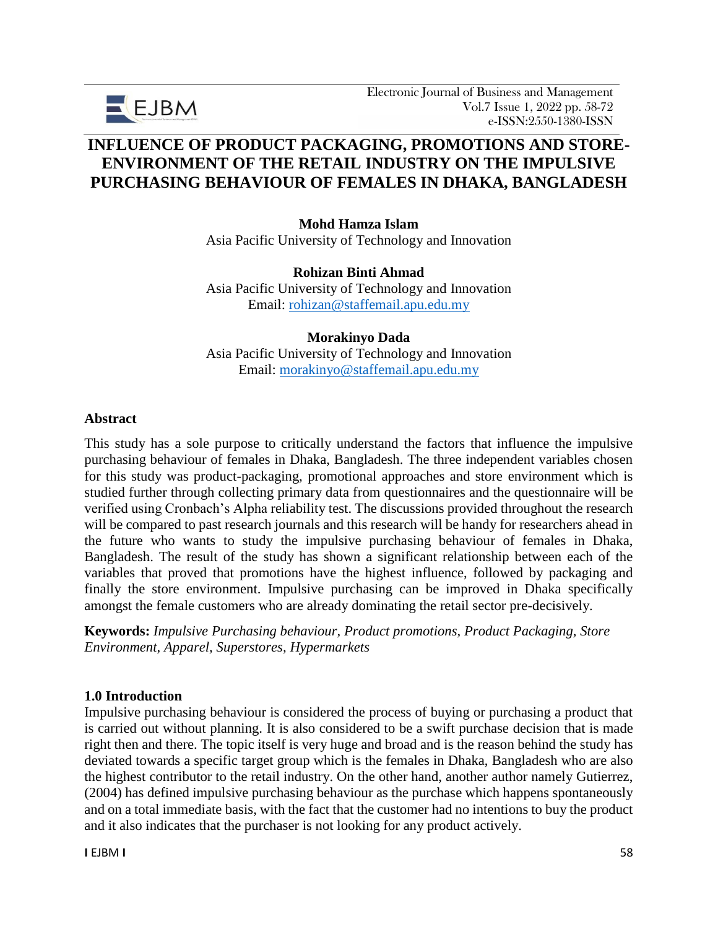

# **INFLUENCE OF PRODUCT PACKAGING, PROMOTIONS AND STORE-ENVIRONMENT OF THE RETAIL INDUSTRY ON THE IMPULSIVE PURCHASING BEHAVIOUR OF FEMALES IN DHAKA, BANGLADESH**

**Mohd Hamza Islam** Asia Pacific University of Technology and Innovation

**Rohizan Binti Ahmad** Asia Pacific University of Technology and Innovation Email: [rohizan@staffemail.apu.edu.my](mailto:rohizan@staffemail.apu.edu.my)

#### **Morakinyo Dada**

Asia Pacific University of Technology and Innovation Email: [morakinyo@staffemail.apu.edu.my](mailto:morakinyo@staffemail.apu.edu.my)

### **Abstract**

This study has a sole purpose to critically understand the factors that influence the impulsive purchasing behaviour of females in Dhaka, Bangladesh. The three independent variables chosen for this study was product-packaging, promotional approaches and store environment which is studied further through collecting primary data from questionnaires and the questionnaire will be verified using Cronbach's Alpha reliability test. The discussions provided throughout the research will be compared to past research journals and this research will be handy for researchers ahead in the future who wants to study the impulsive purchasing behaviour of females in Dhaka, Bangladesh. The result of the study has shown a significant relationship between each of the variables that proved that promotions have the highest influence, followed by packaging and finally the store environment. Impulsive purchasing can be improved in Dhaka specifically amongst the female customers who are already dominating the retail sector pre-decisively.

**Keywords:** *Impulsive Purchasing behaviour, Product promotions, Product Packaging, Store Environment, Apparel, Superstores, Hypermarkets*

#### **1.0 Introduction**

Impulsive purchasing behaviour is considered the process of buying or purchasing a product that is carried out without planning. It is also considered to be a swift purchase decision that is made right then and there. The topic itself is very huge and broad and is the reason behind the study has deviated towards a specific target group which is the females in Dhaka, Bangladesh who are also the highest contributor to the retail industry. On the other hand, another author namely Gutierrez, (2004) has defined impulsive purchasing behaviour as the purchase which happens spontaneously and on a total immediate basis, with the fact that the customer had no intentions to buy the product and it also indicates that the purchaser is not looking for any product actively.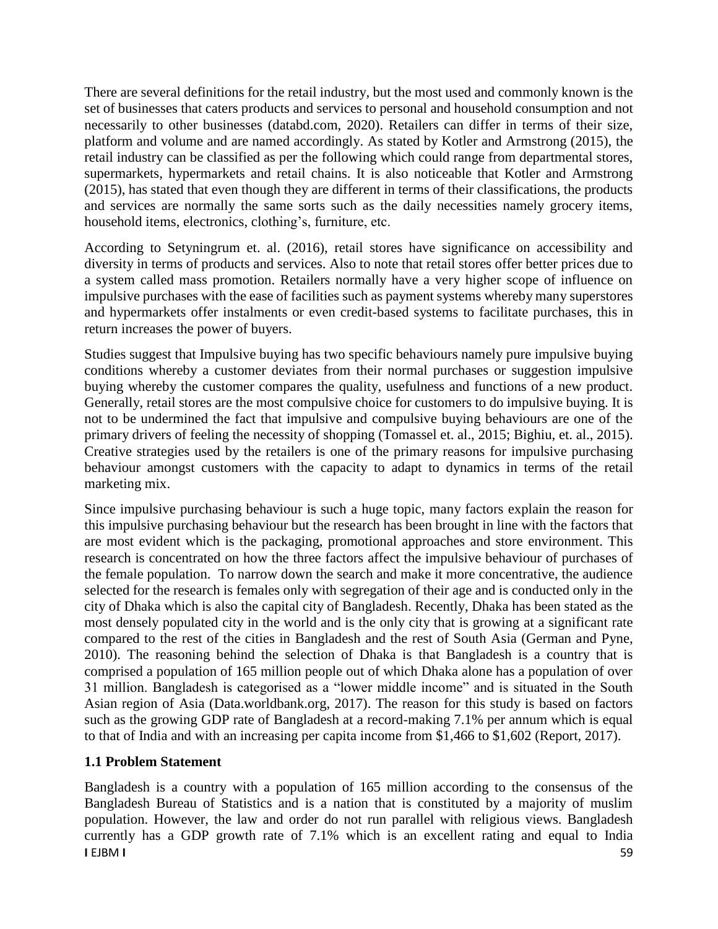There are several definitions for the retail industry, but the most used and commonly known is the set of businesses that caters products and services to personal and household consumption and not necessarily to other businesses (databd.com, 2020). Retailers can differ in terms of their size, platform and volume and are named accordingly. As stated by Kotler and Armstrong (2015), the retail industry can be classified as per the following which could range from departmental stores, supermarkets, hypermarkets and retail chains. It is also noticeable that Kotler and Armstrong (2015), has stated that even though they are different in terms of their classifications, the products and services are normally the same sorts such as the daily necessities namely grocery items, household items, electronics, clothing's, furniture, etc.

According to Setyningrum et. al. (2016), retail stores have significance on accessibility and diversity in terms of products and services. Also to note that retail stores offer better prices due to a system called mass promotion. Retailers normally have a very higher scope of influence on impulsive purchases with the ease of facilities such as payment systems whereby many superstores and hypermarkets offer instalments or even credit-based systems to facilitate purchases, this in return increases the power of buyers.

Studies suggest that Impulsive buying has two specific behaviours namely pure impulsive buying conditions whereby a customer deviates from their normal purchases or suggestion impulsive buying whereby the customer compares the quality, usefulness and functions of a new product. Generally, retail stores are the most compulsive choice for customers to do impulsive buying. It is not to be undermined the fact that impulsive and compulsive buying behaviours are one of the primary drivers of feeling the necessity of shopping (Tomassel et. al., 2015; Bighiu, et. al., 2015). Creative strategies used by the retailers is one of the primary reasons for impulsive purchasing behaviour amongst customers with the capacity to adapt to dynamics in terms of the retail marketing mix.

Since impulsive purchasing behaviour is such a huge topic, many factors explain the reason for this impulsive purchasing behaviour but the research has been brought in line with the factors that are most evident which is the packaging, promotional approaches and store environment. This research is concentrated on how the three factors affect the impulsive behaviour of purchases of the female population. To narrow down the search and make it more concentrative, the audience selected for the research is females only with segregation of their age and is conducted only in the city of Dhaka which is also the capital city of Bangladesh. Recently, Dhaka has been stated as the most densely populated city in the world and is the only city that is growing at a significant rate compared to the rest of the cities in Bangladesh and the rest of South Asia (German and Pyne, 2010). The reasoning behind the selection of Dhaka is that Bangladesh is a country that is comprised a population of 165 million people out of which Dhaka alone has a population of over 31 million. Bangladesh is categorised as a "lower middle income" and is situated in the South Asian region of Asia (Data.worldbank.org, 2017). The reason for this study is based on factors such as the growing GDP rate of Bangladesh at a record-making 7.1% per annum which is equal to that of India and with an increasing per capita income from \$1,466 to \$1,602 (Report, 2017).

# **1.1 Problem Statement**

**I** EJBM I Bangladesh is a country with a population of 165 million according to the consensus of the Bangladesh Bureau of Statistics and is a nation that is constituted by a majority of muslim population. However, the law and order do not run parallel with religious views. Bangladesh currently has a GDP growth rate of 7.1% which is an excellent rating and equal to India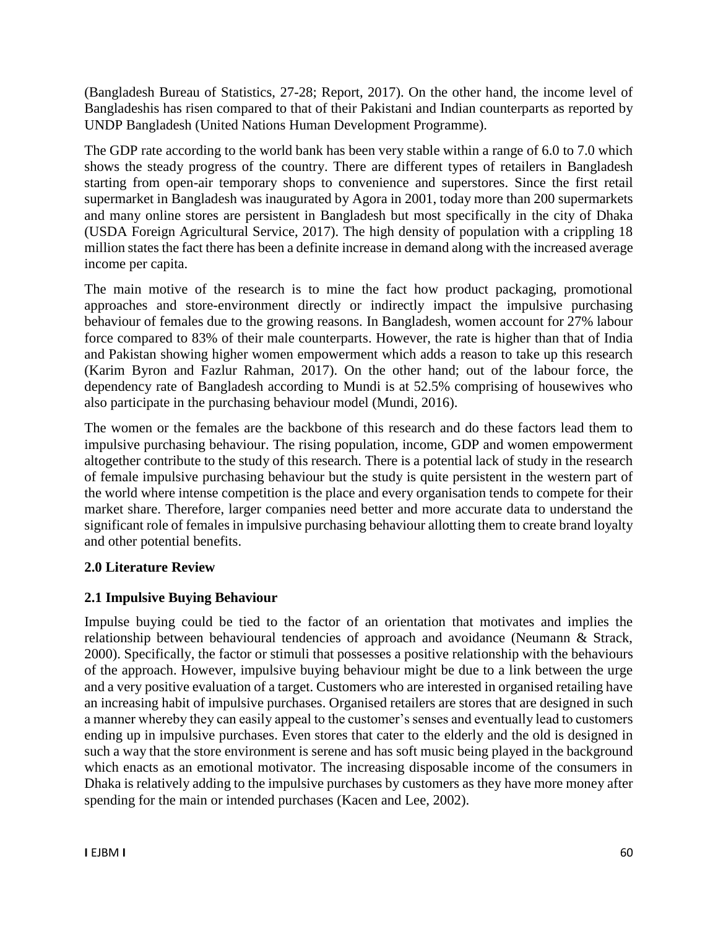(Bangladesh Bureau of Statistics, 27-28; Report, 2017). On the other hand, the income level of Bangladeshis has risen compared to that of their Pakistani and Indian counterparts as reported by UNDP Bangladesh (United Nations Human Development Programme).

The GDP rate according to the world bank has been very stable within a range of 6.0 to 7.0 which shows the steady progress of the country. There are different types of retailers in Bangladesh starting from open-air temporary shops to convenience and superstores. Since the first retail supermarket in Bangladesh was inaugurated by Agora in 2001, today more than 200 supermarkets and many online stores are persistent in Bangladesh but most specifically in the city of Dhaka (USDA Foreign Agricultural Service, 2017). The high density of population with a crippling 18 million states the fact there has been a definite increase in demand along with the increased average income per capita.

The main motive of the research is to mine the fact how product packaging, promotional approaches and store-environment directly or indirectly impact the impulsive purchasing behaviour of females due to the growing reasons. In Bangladesh, women account for 27% labour force compared to 83% of their male counterparts. However, the rate is higher than that of India and Pakistan showing higher women empowerment which adds a reason to take up this research (Karim Byron and Fazlur Rahman, 2017). On the other hand; out of the labour force, the dependency rate of Bangladesh according to Mundi is at 52.5% comprising of housewives who also participate in the purchasing behaviour model (Mundi, 2016).

The women or the females are the backbone of this research and do these factors lead them to impulsive purchasing behaviour. The rising population, income, GDP and women empowerment altogether contribute to the study of this research. There is a potential lack of study in the research of female impulsive purchasing behaviour but the study is quite persistent in the western part of the world where intense competition is the place and every organisation tends to compete for their market share. Therefore, larger companies need better and more accurate data to understand the significant role of females in impulsive purchasing behaviour allotting them to create brand loyalty and other potential benefits.

# **2.0 Literature Review**

# **2.1 Impulsive Buying Behaviour**

Impulse buying could be tied to the factor of an orientation that motivates and implies the relationship between behavioural tendencies of approach and avoidance (Neumann & Strack, 2000). Specifically, the factor or stimuli that possesses a positive relationship with the behaviours of the approach. However, impulsive buying behaviour might be due to a link between the urge and a very positive evaluation of a target. Customers who are interested in organised retailing have an increasing habit of impulsive purchases. Organised retailers are stores that are designed in such a manner whereby they can easily appeal to the customer's senses and eventually lead to customers ending up in impulsive purchases. Even stores that cater to the elderly and the old is designed in such a way that the store environment is serene and has soft music being played in the background which enacts as an emotional motivator. The increasing disposable income of the consumers in Dhaka is relatively adding to the impulsive purchases by customers as they have more money after spending for the main or intended purchases (Kacen and Lee, 2002).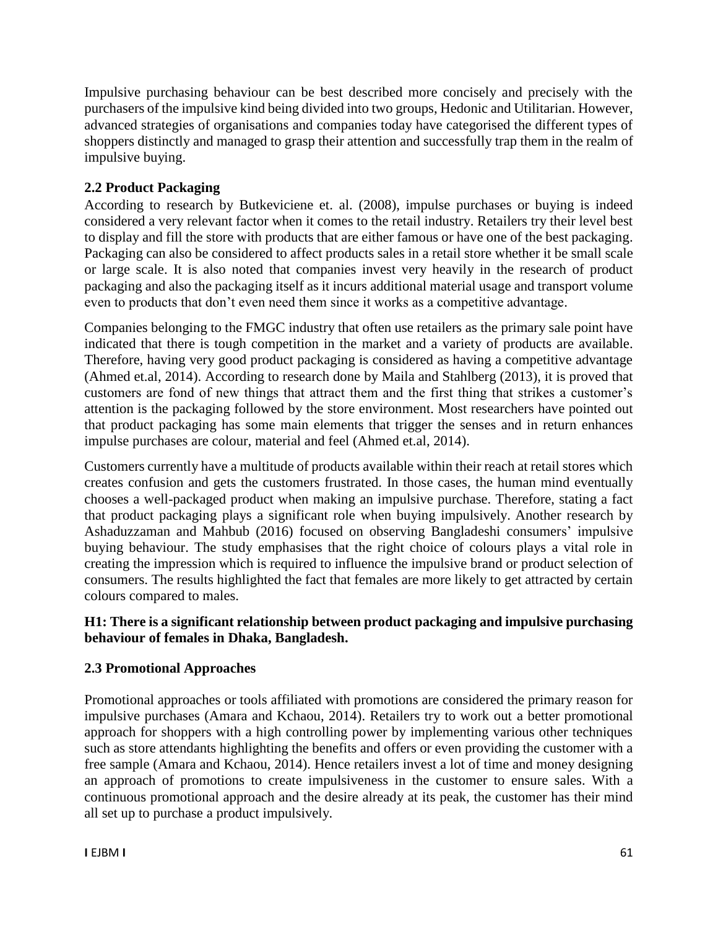Impulsive purchasing behaviour can be best described more concisely and precisely with the purchasers of the impulsive kind being divided into two groups, Hedonic and Utilitarian. However, advanced strategies of organisations and companies today have categorised the different types of shoppers distinctly and managed to grasp their attention and successfully trap them in the realm of impulsive buying.

# **2.2 Product Packaging**

According to research by Butkeviciene et. al. (2008), impulse purchases or buying is indeed considered a very relevant factor when it comes to the retail industry. Retailers try their level best to display and fill the store with products that are either famous or have one of the best packaging. Packaging can also be considered to affect products sales in a retail store whether it be small scale or large scale. It is also noted that companies invest very heavily in the research of product packaging and also the packaging itself as it incurs additional material usage and transport volume even to products that don't even need them since it works as a competitive advantage.

Companies belonging to the FMGC industry that often use retailers as the primary sale point have indicated that there is tough competition in the market and a variety of products are available. Therefore, having very good product packaging is considered as having a competitive advantage (Ahmed et.al, 2014). According to research done by Maila and Stahlberg (2013), it is proved that customers are fond of new things that attract them and the first thing that strikes a customer's attention is the packaging followed by the store environment. Most researchers have pointed out that product packaging has some main elements that trigger the senses and in return enhances impulse purchases are colour, material and feel (Ahmed et.al, 2014).

Customers currently have a multitude of products available within their reach at retail stores which creates confusion and gets the customers frustrated. In those cases, the human mind eventually chooses a well-packaged product when making an impulsive purchase. Therefore, stating a fact that product packaging plays a significant role when buying impulsively. Another research by Ashaduzzaman and Mahbub (2016) focused on observing Bangladeshi consumers' impulsive buying behaviour. The study emphasises that the right choice of colours plays a vital role in creating the impression which is required to influence the impulsive brand or product selection of consumers. The results highlighted the fact that females are more likely to get attracted by certain colours compared to males.

# **H1: There is a significant relationship between product packaging and impulsive purchasing behaviour of females in Dhaka, Bangladesh.**

# **2.3 Promotional Approaches**

Promotional approaches or tools affiliated with promotions are considered the primary reason for impulsive purchases (Amara and Kchaou, 2014). Retailers try to work out a better promotional approach for shoppers with a high controlling power by implementing various other techniques such as store attendants highlighting the benefits and offers or even providing the customer with a free sample (Amara and Kchaou, 2014). Hence retailers invest a lot of time and money designing an approach of promotions to create impulsiveness in the customer to ensure sales. With a continuous promotional approach and the desire already at its peak, the customer has their mind all set up to purchase a product impulsively.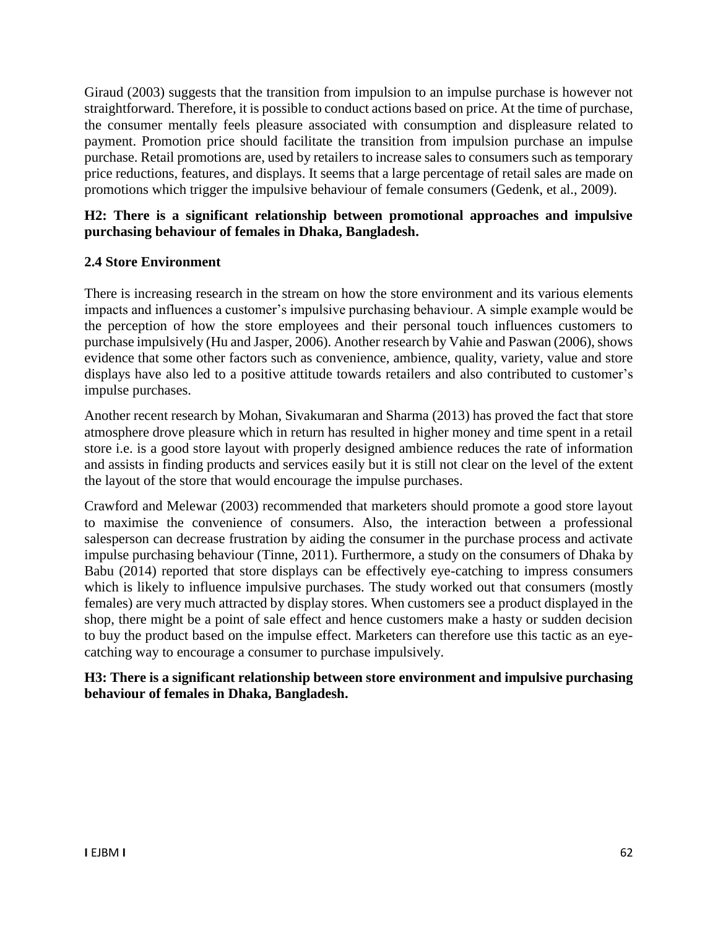Giraud (2003) suggests that the transition from impulsion to an impulse purchase is however not straightforward. Therefore, it is possible to conduct actions based on price. At the time of purchase, the consumer mentally feels pleasure associated with consumption and displeasure related to payment. Promotion price should facilitate the transition from impulsion purchase an impulse purchase. Retail promotions are, used by retailers to increase sales to consumers such as temporary price reductions, features, and displays. It seems that a large percentage of retail sales are made on promotions which trigger the impulsive behaviour of female consumers (Gedenk, et al., 2009).

# **H2: There is a significant relationship between promotional approaches and impulsive purchasing behaviour of females in Dhaka, Bangladesh.**

# **2.4 Store Environment**

There is increasing research in the stream on how the store environment and its various elements impacts and influences a customer's impulsive purchasing behaviour. A simple example would be the perception of how the store employees and their personal touch influences customers to purchase impulsively (Hu and Jasper, 2006). Another research by Vahie and Paswan (2006), shows evidence that some other factors such as convenience, ambience, quality, variety, value and store displays have also led to a positive attitude towards retailers and also contributed to customer's impulse purchases.

Another recent research by Mohan, Sivakumaran and Sharma (2013) has proved the fact that store atmosphere drove pleasure which in return has resulted in higher money and time spent in a retail store i.e. is a good store layout with properly designed ambience reduces the rate of information and assists in finding products and services easily but it is still not clear on the level of the extent the layout of the store that would encourage the impulse purchases.

Crawford and Melewar (2003) recommended that marketers should promote a good store layout to maximise the convenience of consumers. Also, the interaction between a professional salesperson can decrease frustration by aiding the consumer in the purchase process and activate impulse purchasing behaviour (Tinne, 2011). Furthermore, a study on the consumers of Dhaka by Babu (2014) reported that store displays can be effectively eye-catching to impress consumers which is likely to influence impulsive purchases. The study worked out that consumers (mostly females) are very much attracted by display stores. When customers see a product displayed in the shop, there might be a point of sale effect and hence customers make a hasty or sudden decision to buy the product based on the impulse effect. Marketers can therefore use this tactic as an eyecatching way to encourage a consumer to purchase impulsively.

**H3: There is a significant relationship between store environment and impulsive purchasing behaviour of females in Dhaka, Bangladesh.**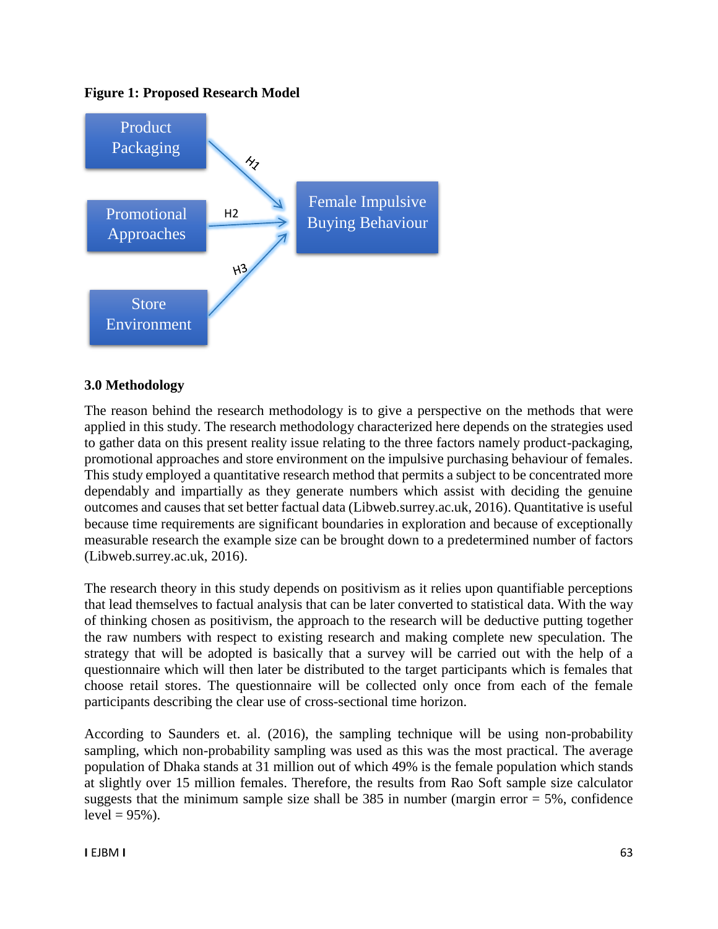### **Figure 1: Proposed Research Model**



# **3.0 Methodology**

The reason behind the research methodology is to give a perspective on the methods that were applied in this study. The research methodology characterized here depends on the strategies used to gather data on this present reality issue relating to the three factors namely product-packaging, promotional approaches and store environment on the impulsive purchasing behaviour of females. This study employed a quantitative research method that permits a subject to be concentrated more dependably and impartially as they generate numbers which assist with deciding the genuine outcomes and causes that set better factual data (Libweb.surrey.ac.uk, 2016). Quantitative is useful because time requirements are significant boundaries in exploration and because of exceptionally measurable research the example size can be brought down to a predetermined number of factors (Libweb.surrey.ac.uk, 2016).

The research theory in this study depends on positivism as it relies upon quantifiable perceptions that lead themselves to factual analysis that can be later converted to statistical data. With the way of thinking chosen as positivism, the approach to the research will be deductive putting together the raw numbers with respect to existing research and making complete new speculation. The strategy that will be adopted is basically that a survey will be carried out with the help of a questionnaire which will then later be distributed to the target participants which is females that choose retail stores. The questionnaire will be collected only once from each of the female participants describing the clear use of cross-sectional time horizon.

According to Saunders et. al. (2016), the sampling technique will be using non-probability sampling, which non-probability sampling was used as this was the most practical. The average population of Dhaka stands at 31 million out of which 49% is the female population which stands at slightly over 15 million females. Therefore, the results from Rao Soft sample size calculator suggests that the minimum sample size shall be  $385$  in number (margin error  $= 5\%$ , confidence  $level = 95\%$ ).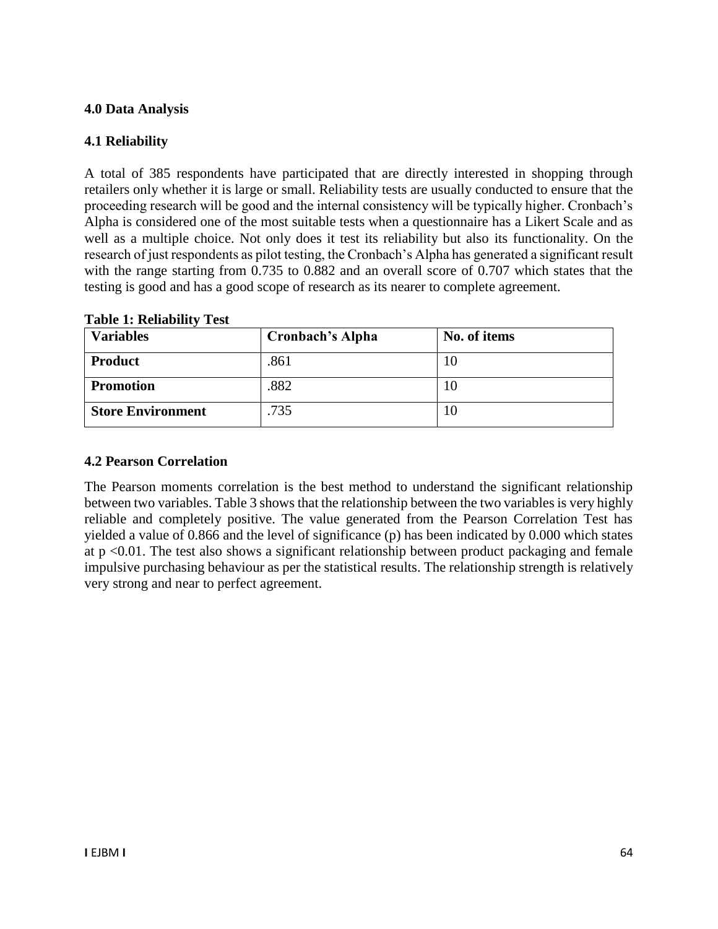# **4.0 Data Analysis**

# **4.1 Reliability**

A total of 385 respondents have participated that are directly interested in shopping through retailers only whether it is large or small. Reliability tests are usually conducted to ensure that the proceeding research will be good and the internal consistency will be typically higher. Cronbach's Alpha is considered one of the most suitable tests when a questionnaire has a Likert Scale and as well as a multiple choice. Not only does it test its reliability but also its functionality. On the research of just respondents as pilot testing, the Cronbach's Alpha has generated a significant result with the range starting from 0.735 to 0.882 and an overall score of 0.707 which states that the testing is good and has a good scope of research as its nearer to complete agreement.

| <b>Variables</b>         | Cronbach's Alpha | No. of items |
|--------------------------|------------------|--------------|
| <b>Product</b>           | .861             | 10           |
| <b>Promotion</b>         | .882             | 10           |
| <b>Store Environment</b> | .735             | 10           |

### **Table 1: Reliability Test**

### **4.2 Pearson Correlation**

The Pearson moments correlation is the best method to understand the significant relationship between two variables. Table 3 shows that the relationship between the two variables is very highly reliable and completely positive. The value generated from the Pearson Correlation Test has yielded a value of 0.866 and the level of significance (p) has been indicated by 0.000 which states at p <0.01. The test also shows a significant relationship between product packaging and female impulsive purchasing behaviour as per the statistical results. The relationship strength is relatively very strong and near to perfect agreement.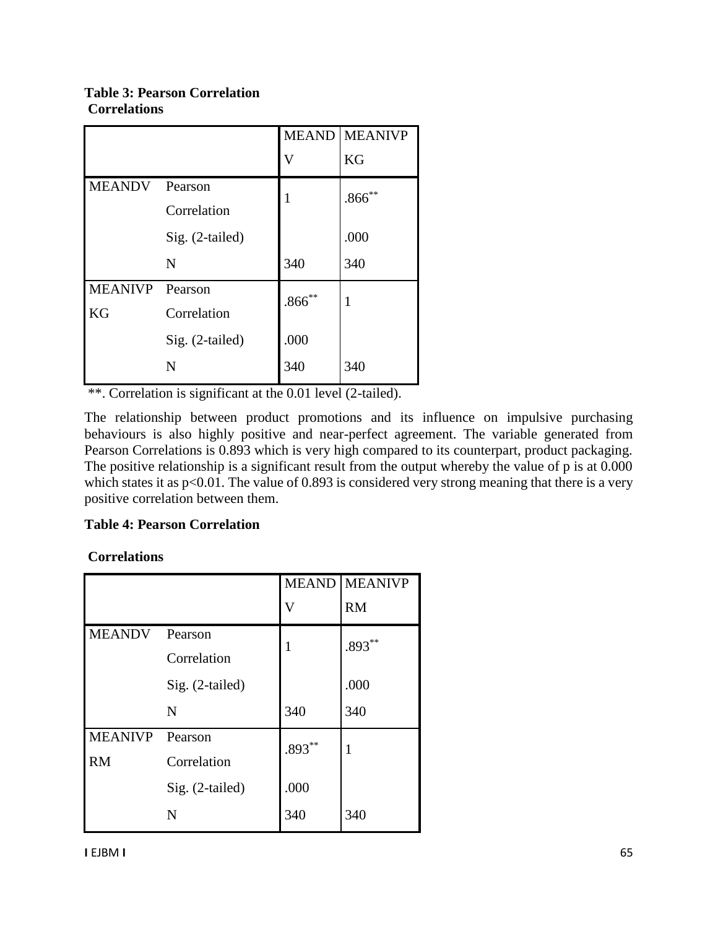## **Table 3: Pearson Correlation Correlations**

|                |                 | <b>MEAND</b> | <b>MEANIVP</b> |  |
|----------------|-----------------|--------------|----------------|--|
|                |                 | V            | KG             |  |
| <b>MEANDV</b>  | Pearson         | 1            | $.866^{**}$    |  |
|                | Correlation     |              |                |  |
|                | Sig. (2-tailed) |              | .000           |  |
|                | N               | 340          | 340            |  |
| <b>MEANIVP</b> | Pearson         | $.866^{**}$  |                |  |
| KG             | Correlation     |              |                |  |
|                | Sig. (2-tailed) | .000         |                |  |
|                | N               | 340          | 340            |  |

\*\*. Correlation is significant at the 0.01 level (2-tailed).

The relationship between product promotions and its influence on impulsive purchasing behaviours is also highly positive and near-perfect agreement. The variable generated from Pearson Correlations is 0.893 which is very high compared to its counterpart, product packaging. The positive relationship is a significant result from the output whereby the value of p is at 0.000 which states it as  $p<0.01$ . The value of 0.893 is considered very strong meaning that there is a very positive correlation between them.

# **Table 4: Pearson Correlation**

# **Correlations**

|                |                 | <b>MEAND</b> | <b>MEANIVP</b> |  |
|----------------|-----------------|--------------|----------------|--|
|                |                 | V            | <b>RM</b>      |  |
| <b>MEANDV</b>  | Pearson         | 1            | $.893***$      |  |
|                | Correlation     |              |                |  |
|                | Sig. (2-tailed) |              | .000           |  |
|                | N               | 340          | 340            |  |
| <b>MEANIVP</b> | Pearson         | $.893***$    | 1              |  |
| <b>RM</b>      | Correlation     |              |                |  |
|                | Sig. (2-tailed) | .000         |                |  |
|                | N               | 340          | 340            |  |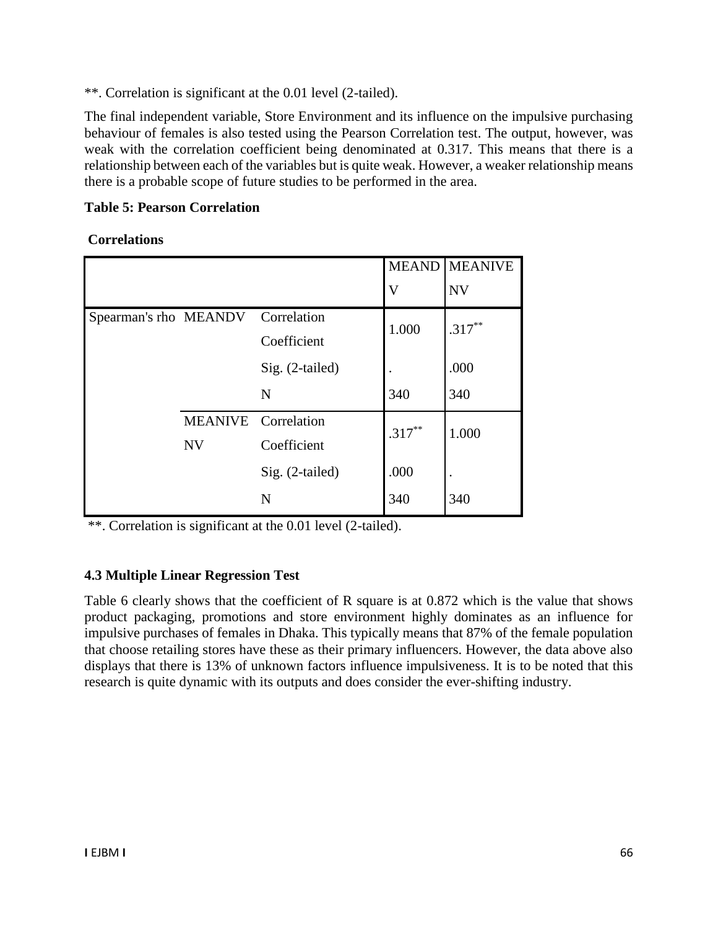\*\*. Correlation is significant at the 0.01 level (2-tailed).

The final independent variable, Store Environment and its influence on the impulsive purchasing behaviour of females is also tested using the Pearson Correlation test. The output, however, was weak with the correlation coefficient being denominated at 0.317. This means that there is a relationship between each of the variables but is quite weak. However, a weaker relationship means there is a probable scope of future studies to be performed in the area.

# **Table 5: Pearson Correlation**

**Correlations**

|                                   |                               |                 | <b>MEAND</b> | <b>MEANIVE</b> |
|-----------------------------------|-------------------------------|-----------------|--------------|----------------|
|                                   |                               |                 | $\mathbf V$  | <b>NV</b>      |
| Spearman's rho MEANDV Correlation |                               |                 | 1.000        | $.317***$      |
|                                   |                               | Coefficient     |              |                |
|                                   |                               | Sig. (2-tailed) |              | .000           |
|                                   |                               | N               | 340          | 340            |
|                                   | <b>MEANIVE</b><br>Correlation |                 | $.317***$    | 1.000          |
|                                   | <b>NV</b>                     | Coefficient     |              |                |
|                                   |                               | Sig. (2-tailed) | .000         |                |
|                                   |                               | N               | 340          | 340            |

\*\*. Correlation is significant at the 0.01 level (2-tailed).

# **4.3 Multiple Linear Regression Test**

Table 6 clearly shows that the coefficient of R square is at 0.872 which is the value that shows product packaging, promotions and store environment highly dominates as an influence for impulsive purchases of females in Dhaka. This typically means that 87% of the female population that choose retailing stores have these as their primary influencers. However, the data above also displays that there is 13% of unknown factors influence impulsiveness. It is to be noted that this research is quite dynamic with its outputs and does consider the ever-shifting industry.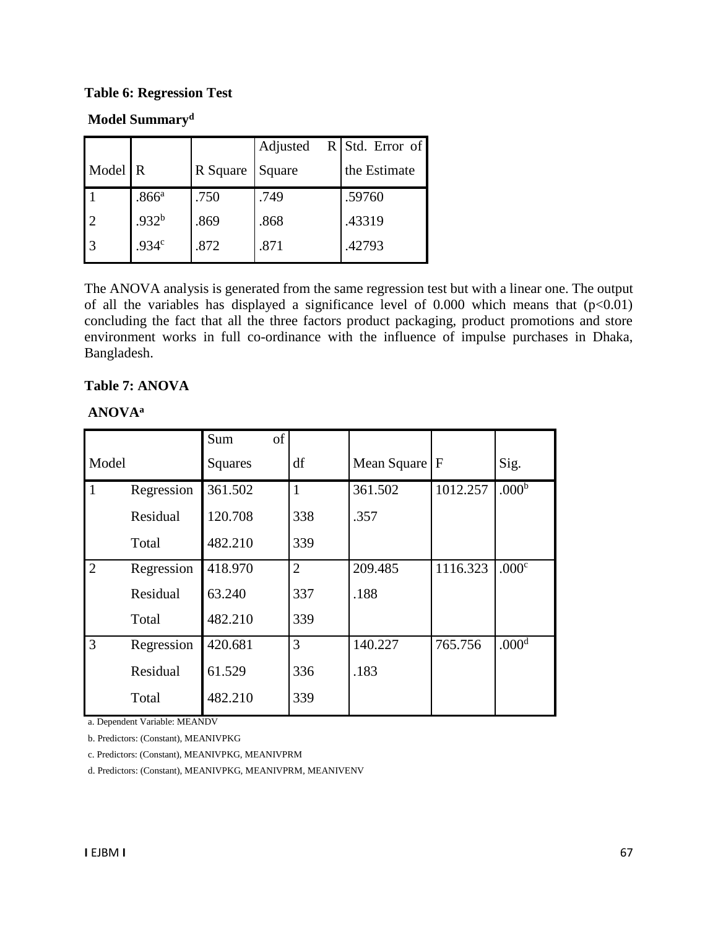### **Table 6: Regression Test**

# **Model Summary<sup>d</sup>**

|                |                   |          | Adjusted | $R$ Std. Error of |
|----------------|-------------------|----------|----------|-------------------|
| Model <b>R</b> |                   | R Square | Square   | the Estimate      |
|                | .866 <sup>a</sup> | .750     | .749     | .59760            |
| 12             | .932 <sup>b</sup> | .869     | .868     | .43319            |
| 3              | .934 <sup>c</sup> | .872     | .871     | .42793            |

The ANOVA analysis is generated from the same regression test but with a linear one. The output of all the variables has displayed a significance level of 0.000 which means that  $(p<0.01)$ concluding the fact that all the three factors product packaging, product promotions and store environment works in full co-ordinance with the influence of impulse purchases in Dhaka, Bangladesh.

### **Table 7: ANOVA**

### **ANOVA<sup>a</sup>**

|                |            | of<br>Sum      |                |             |              |                   |
|----------------|------------|----------------|----------------|-------------|--------------|-------------------|
| Model          |            | <b>Squares</b> | df             | Mean Square | $\mathbf{F}$ | Sig.              |
| $\mathbf{1}$   | Regression | 361.502        | $\mathbf{1}$   | 361.502     | 1012.257     | .000 <sup>b</sup> |
|                | Residual   | 120.708        | 338            | .357        |              |                   |
|                | Total      | 482.210        | 339            |             |              |                   |
| $\overline{2}$ | Regression | 418.970        | $\overline{2}$ | 209.485     | 1116.323     | .000 <sup>c</sup> |
|                | Residual   | 63.240         | 337            | .188        |              |                   |
|                | Total      | 482.210        | 339            |             |              |                   |
| $\overline{3}$ | Regression | 420.681        | 3              | 140.227     | 765.756      | .000 <sup>d</sup> |
|                | Residual   | 61.529         | 336            | .183        |              |                   |
|                | Total      | 482.210        | 339            |             |              |                   |

a. Dependent Variable: MEANDV

b. Predictors: (Constant), MEANIVPKG

c. Predictors: (Constant), MEANIVPKG, MEANIVPRM

d. Predictors: (Constant), MEANIVPKG, MEANIVPRM, MEANIVENV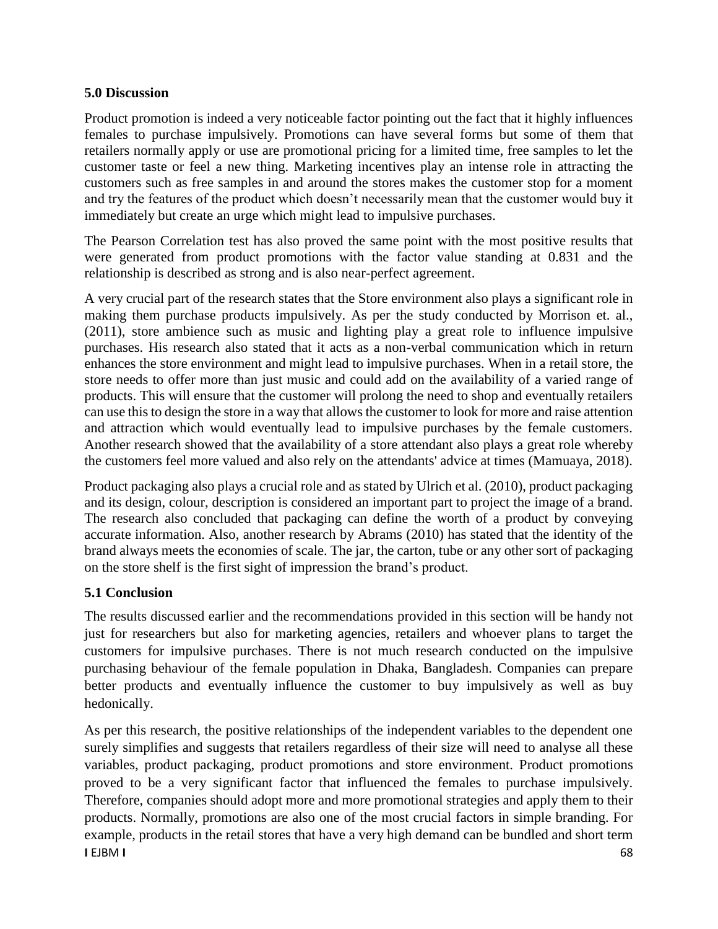## **5.0 Discussion**

Product promotion is indeed a very noticeable factor pointing out the fact that it highly influences females to purchase impulsively. Promotions can have several forms but some of them that retailers normally apply or use are promotional pricing for a limited time, free samples to let the customer taste or feel a new thing. Marketing incentives play an intense role in attracting the customers such as free samples in and around the stores makes the customer stop for a moment and try the features of the product which doesn't necessarily mean that the customer would buy it immediately but create an urge which might lead to impulsive purchases.

The Pearson Correlation test has also proved the same point with the most positive results that were generated from product promotions with the factor value standing at 0.831 and the relationship is described as strong and is also near-perfect agreement.

A very crucial part of the research states that the Store environment also plays a significant role in making them purchase products impulsively. As per the study conducted by Morrison et. al., (2011), store ambience such as music and lighting play a great role to influence impulsive purchases. His research also stated that it acts as a non-verbal communication which in return enhances the store environment and might lead to impulsive purchases. When in a retail store, the store needs to offer more than just music and could add on the availability of a varied range of products. This will ensure that the customer will prolong the need to shop and eventually retailers can use this to design the store in a way that allows the customer to look for more and raise attention and attraction which would eventually lead to impulsive purchases by the female customers. Another research showed that the availability of a store attendant also plays a great role whereby the customers feel more valued and also rely on the attendants' advice at times (Mamuaya, 2018).

Product packaging also plays a crucial role and as stated by Ulrich et al. (2010), product packaging and its design, colour, description is considered an important part to project the image of a brand. The research also concluded that packaging can define the worth of a product by conveying accurate information. Also, another research by Abrams (2010) has stated that the identity of the brand always meets the economies of scale. The jar, the carton, tube or any other sort of packaging on the store shelf is the first sight of impression the brand's product.

# **5.1 Conclusion**

The results discussed earlier and the recommendations provided in this section will be handy not just for researchers but also for marketing agencies, retailers and whoever plans to target the customers for impulsive purchases. There is not much research conducted on the impulsive purchasing behaviour of the female population in Dhaka, Bangladesh. Companies can prepare better products and eventually influence the customer to buy impulsively as well as buy hedonically.

**I** EJBM **I** 68 As per this research, the positive relationships of the independent variables to the dependent one surely simplifies and suggests that retailers regardless of their size will need to analyse all these variables, product packaging, product promotions and store environment. Product promotions proved to be a very significant factor that influenced the females to purchase impulsively. Therefore, companies should adopt more and more promotional strategies and apply them to their products. Normally, promotions are also one of the most crucial factors in simple branding. For example, products in the retail stores that have a very high demand can be bundled and short term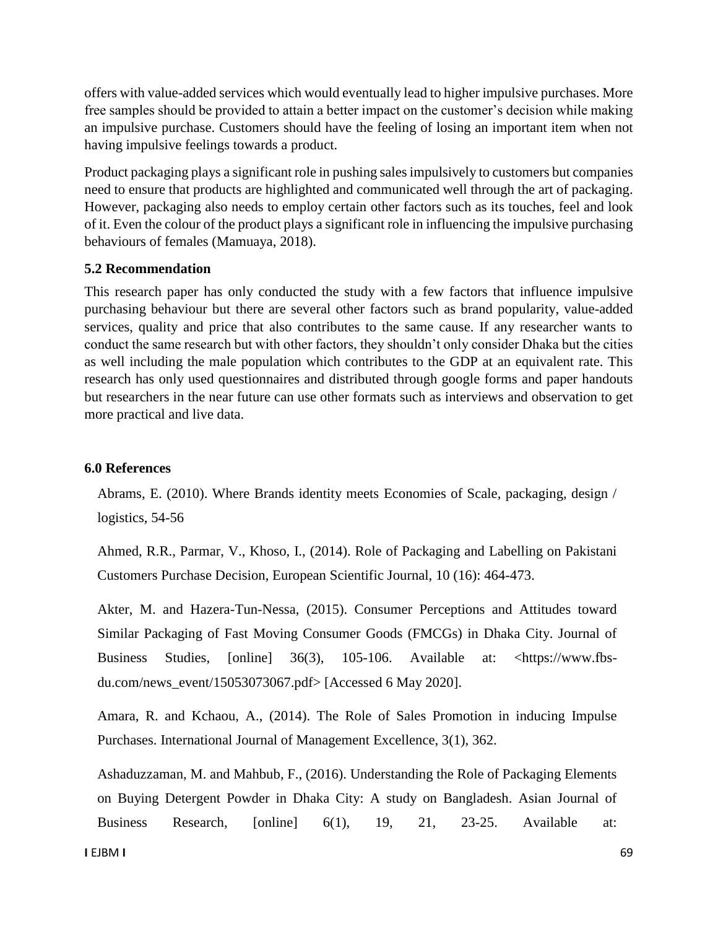offers with value-added services which would eventually lead to higher impulsive purchases. More free samples should be provided to attain a better impact on the customer's decision while making an impulsive purchase. Customers should have the feeling of losing an important item when not having impulsive feelings towards a product.

Product packaging plays a significant role in pushing sales impulsively to customers but companies need to ensure that products are highlighted and communicated well through the art of packaging. However, packaging also needs to employ certain other factors such as its touches, feel and look of it. Even the colour of the product plays a significant role in influencing the impulsive purchasing behaviours of females (Mamuaya, 2018).

### **5.2 Recommendation**

This research paper has only conducted the study with a few factors that influence impulsive purchasing behaviour but there are several other factors such as brand popularity, value-added services, quality and price that also contributes to the same cause. If any researcher wants to conduct the same research but with other factors, they shouldn't only consider Dhaka but the cities as well including the male population which contributes to the GDP at an equivalent rate. This research has only used questionnaires and distributed through google forms and paper handouts but researchers in the near future can use other formats such as interviews and observation to get more practical and live data.

#### **6.0 References**

Abrams, E. (2010). Where Brands identity meets Economies of Scale, packaging, design / logistics, 54-56

Ahmed, R.R., Parmar, V., Khoso, I., (2014). Role of Packaging and Labelling on Pakistani Customers Purchase Decision, European Scientific Journal, 10 (16): 464-473.

Akter, M. and Hazera-Tun-Nessa, (2015). Consumer Perceptions and Attitudes toward Similar Packaging of Fast Moving Consumer Goods (FMCGs) in Dhaka City. Journal of Business Studies, [online] 36(3), 105-106. Available at: <https://www.fbsdu.com/news\_event/15053073067.pdf> [Accessed 6 May 2020].

Amara, R. and Kchaou, A., (2014). The Role of Sales Promotion in inducing Impulse Purchases. International Journal of Management Excellence, 3(1), 362.

Ashaduzzaman, M. and Mahbub, F., (2016). Understanding the Role of Packaging Elements on Buying Detergent Powder in Dhaka City: A study on Bangladesh. Asian Journal of Business Research, [online] 6(1), 19, 21, 23-25. Available at: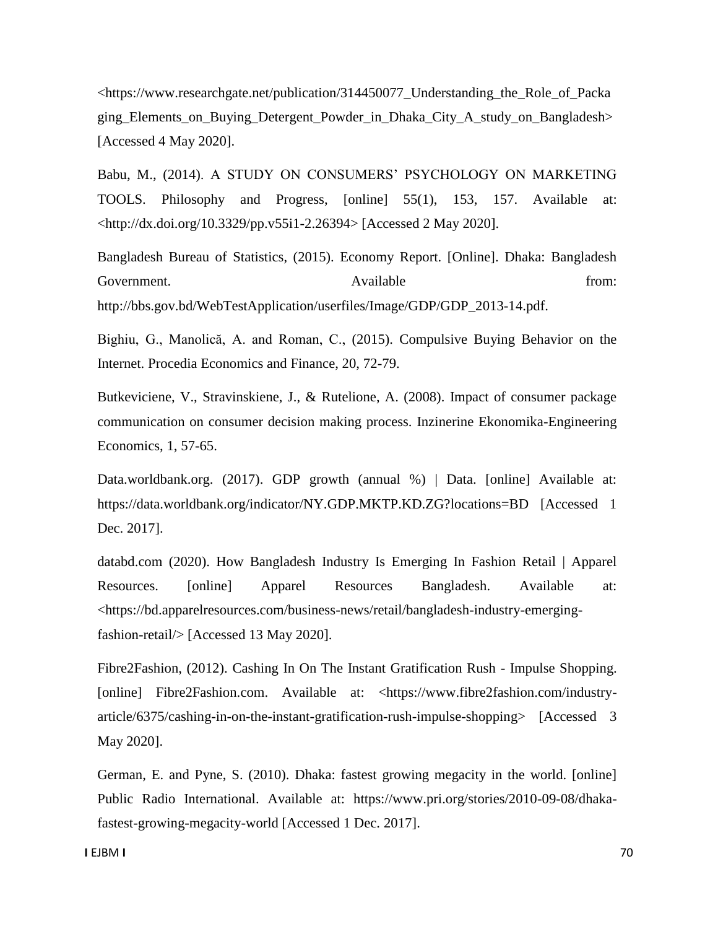<https://www.researchgate.net/publication/314450077\_Understanding\_the\_Role\_of\_Packa ging Elements on Buying Detergent Powder in Dhaka City A study on Bangladesh [Accessed 4 May 2020].

Babu, M., (2014). A STUDY ON CONSUMERS' PSYCHOLOGY ON MARKETING TOOLS. Philosophy and Progress, [online] 55(1), 153, 157. Available at: <http://dx.doi.org/10.3329/pp.v55i1-2.26394> [Accessed 2 May 2020].

Bangladesh Bureau of Statistics, (2015). Economy Report. [Online]. Dhaka: Bangladesh Government. Available **Solution** Available **from:** Available **from:** from: http://bbs.gov.bd/WebTestApplication/userfiles/Image/GDP/GDP\_2013-14.pdf.

Bighiu, G., Manolică, A. and Roman, C., (2015). Compulsive Buying Behavior on the Internet. Procedia Economics and Finance, 20, 72-79.

Butkeviciene, V., Stravinskiene, J., & Rutelione, A. (2008). Impact of consumer package communication on consumer decision making process. Inzinerine Ekonomika-Engineering Economics, 1, 57-65.

Data.worldbank.org. (2017). GDP growth (annual %) | Data. [online] Available at: https://data.worldbank.org/indicator/NY.GDP.MKTP.KD.ZG?locations=BD [Accessed 1 Dec. 2017].

databd.com (2020). How Bangladesh Industry Is Emerging In Fashion Retail | Apparel Resources. [online] Apparel Resources Bangladesh. Available at: <https://bd.apparelresources.com/business-news/retail/bangladesh-industry-emergingfashion-retail/> [Accessed 13 May 2020].

Fibre2Fashion, (2012). Cashing In On The Instant Gratification Rush - Impulse Shopping. [online] Fibre2Fashion.com. Available at: <https://www.fibre2fashion.com/industryarticle/6375/cashing-in-on-the-instant-gratification-rush-impulse-shopping> [Accessed 3 May 2020].

German, E. and Pyne, S. (2010). Dhaka: fastest growing megacity in the world. [online] Public Radio International. Available at: https://www.pri.org/stories/2010-09-08/dhakafastest-growing-megacity-world [Accessed 1 Dec. 2017].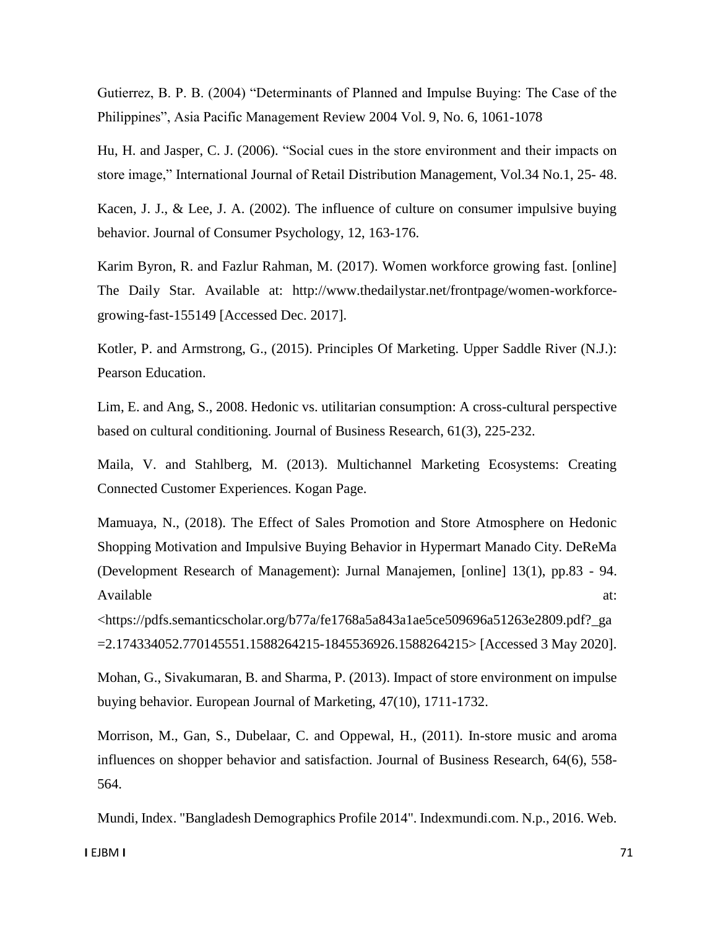Gutierrez, B. P. B. (2004) "Determinants of Planned and Impulse Buying: The Case of the Philippines", Asia Pacific Management Review 2004 Vol. 9, No. 6, 1061-1078

Hu, H. and Jasper, C. J. (2006). "Social cues in the store environment and their impacts on store image," International Journal of Retail Distribution Management, Vol.34 No.1, 25- 48.

Kacen, J. J., & Lee, J. A. (2002). The influence of culture on consumer impulsive buying behavior. Journal of Consumer Psychology, 12, 163-176.

Karim Byron, R. and Fazlur Rahman, M. (2017). Women workforce growing fast. [online] The Daily Star. Available at: http://www.thedailystar.net/frontpage/women-workforcegrowing-fast-155149 [Accessed Dec. 2017].

Kotler, P. and Armstrong, G., (2015). Principles Of Marketing. Upper Saddle River (N.J.): Pearson Education.

Lim, E. and Ang, S., 2008. Hedonic vs. utilitarian consumption: A cross-cultural perspective based on cultural conditioning. Journal of Business Research, 61(3), 225-232.

Maila, V. and Stahlberg, M. (2013). Multichannel Marketing Ecosystems: Creating Connected Customer Experiences. Kogan Page.

Mamuaya, N., (2018). The Effect of Sales Promotion and Store Atmosphere on Hedonic Shopping Motivation and Impulsive Buying Behavior in Hypermart Manado City. DeReMa (Development Research of Management): Jurnal Manajemen, [online] 13(1), pp.83 - 94. Available at:  $\alpha$ 

<https://pdfs.semanticscholar.org/b77a/fe1768a5a843a1ae5ce509696a51263e2809.pdf?\_ga =2.174334052.770145551.1588264215-1845536926.1588264215> [Accessed 3 May 2020].

Mohan, G., Sivakumaran, B. and Sharma, P. (2013). Impact of store environment on impulse buying behavior. European Journal of Marketing, 47(10), 1711-1732.

Morrison, M., Gan, S., Dubelaar, C. and Oppewal, H., (2011). In-store music and aroma influences on shopper behavior and satisfaction. Journal of Business Research, 64(6), 558- 564.

Mundi, Index. "Bangladesh Demographics Profile 2014". Indexmundi.com. N.p., 2016. Web.